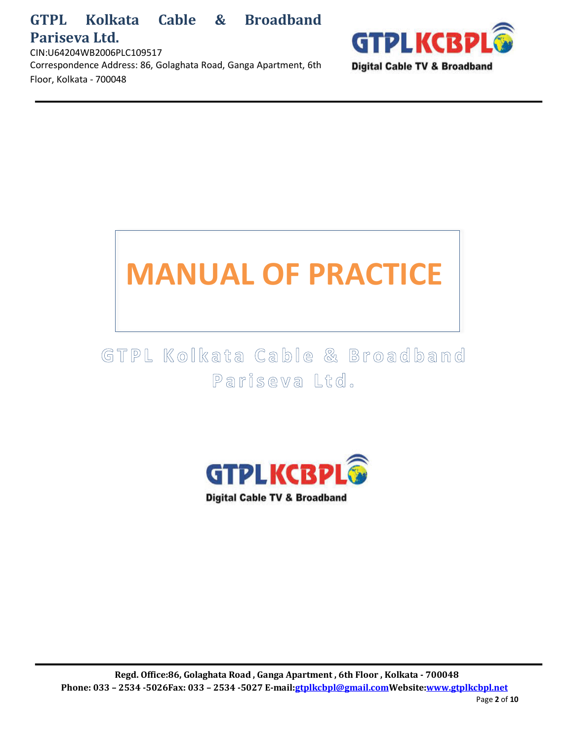CIN:U64204WB2006PLC109517 Correspondence Address: 86, Golaghata Road, Ganga Apartment, 6th Floor, Kolkata - 700048



# **MANUAL OF PRACTICE**

GTPL Kolkata Cable & Broadband Pariseva Ltd.

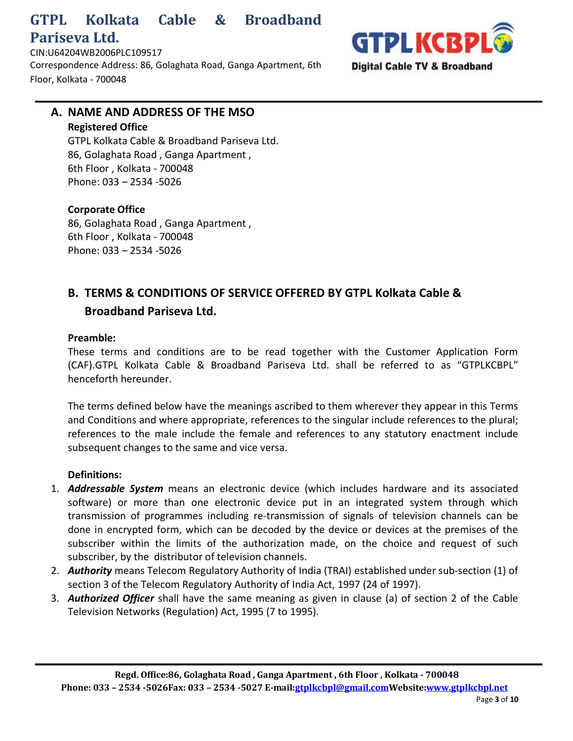**GTPLKCBP Digital Cable TV & Broadband** 

CIN:U64204WB2006PLC109517 Correspondence Address: 86, Golaghata Road, Ganga Apartment, 6th Floor, Kolkata - 700048

## **A. NAME AND ADDRESS OF THE MSO Registered Office** GTPL Kolkata Cable & Broadband Pariseva Ltd.

86, Golaghata Road , Ganga Apartment , 6th Floor , Kolkata - 700048 Phone: 033 – 2534 -5026

## **Corporate Office**

86, Golaghata Road , Ganga Apartment , 6th Floor , Kolkata - 700048 Phone: 033 – 2534 -5026

# **B. TERMS & CONDITIONS OF SERVICE OFFERED BY GTPL Kolkata Cable & Broadband Pariseva Ltd.**

#### **Preamble:**

These terms and conditions are to be read together with the Customer Application Form (CAF).GTPL Kolkata Cable & Broadband Pariseva Ltd. shall be referred to as "GTPLKCBPL" henceforth hereunder.

The terms defined below have the meanings ascribed to them wherever they appear in this Terms and Conditions and where appropriate, references to the singular include references to the plural; references to the male include the female and references to any statutory enactment include subsequent changes to the same and vice versa.

## **Definitions:**

- 1. *Addressable System* means an electronic device (which includes hardware and its associated software) or more than one electronic device put in an integrated system through which transmission of programmes including re-transmission of signals of television channels can be done in encrypted form, which can be decoded by the device or devices at the premises of the subscriber within the limits of the authorization made, on the choice and request of such subscriber, by the distributor of television channels.
- 2. *Authority* means Telecom Regulatory Authority of India (TRAI) established under sub-section (1) of section 3 of the Telecom Regulatory Authority of India Act, 1997 (24 of 1997).
- 3. *Authorized Officer* shall have the same meaning as given in clause (a) of section 2 of the Cable Television Networks (Regulation) Act, 1995 (7 to 1995).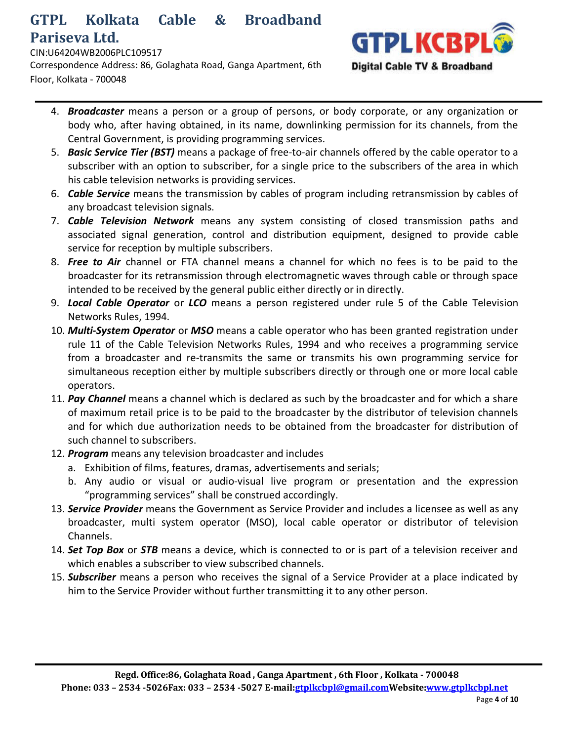#### CIN:U64204WB2006PLC109517

Correspondence Address: 86, Golaghata Road, Ganga Apartment, 6th Floor, Kolkata - 700048



- 4. *Broadcaster* means a person or a group of persons, or body corporate, or any organization or body who, after having obtained, in its name, downlinking permission for its channels, from the Central Government, is providing programming services.
- 5. *Basic Service Tier (BST)* means a package of free-to-air channels offered by the cable operator to a subscriber with an option to subscriber, for a single price to the subscribers of the area in which his cable television networks is providing services.
- 6. *Cable Service* means the transmission by cables of program including retransmission by cables of any broadcast television signals.
- 7. *Cable Television Network* means any system consisting of closed transmission paths and associated signal generation, control and distribution equipment, designed to provide cable service for reception by multiple subscribers.
- 8. *Free to Air* channel or FTA channel means a channel for which no fees is to be paid to the broadcaster for its retransmission through electromagnetic waves through cable or through space intended to be received by the general public either directly or in directly.
- 9. *Local Cable Operator* or *LCO* means a person registered under rule 5 of the Cable Television Networks Rules, 1994.
- 10. *Multi-System Operator* or *MSO* means a cable operator who has been granted registration under rule 11 of the Cable Television Networks Rules, 1994 and who receives a programming service from a broadcaster and re-transmits the same or transmits his own programming service for simultaneous reception either by multiple subscribers directly or through one or more local cable operators.
- 11. *Pay Channel* means a channel which is declared as such by the broadcaster and for which a share of maximum retail price is to be paid to the broadcaster by the distributor of television channels and for which due authorization needs to be obtained from the broadcaster for distribution of such channel to subscribers.
- 12. *Program* means any television broadcaster and includes
	- a. Exhibition of films, features, dramas, advertisements and serials;
	- b. Any audio or visual or audio-visual live program or presentation and the expression "programming services" shall be construed accordingly.
- 13. *Service Provider* means the Government as Service Provider and includes a licensee as well as any broadcaster, multi system operator (MSO), local cable operator or distributor of television Channels.
- 14. *Set Top Box* or *STB* means a device, which is connected to or is part of a television receiver and which enables a subscriber to view subscribed channels.
- 15. *Subscriber* means a person who receives the signal of a Service Provider at a place indicated by him to the Service Provider without further transmitting it to any other person.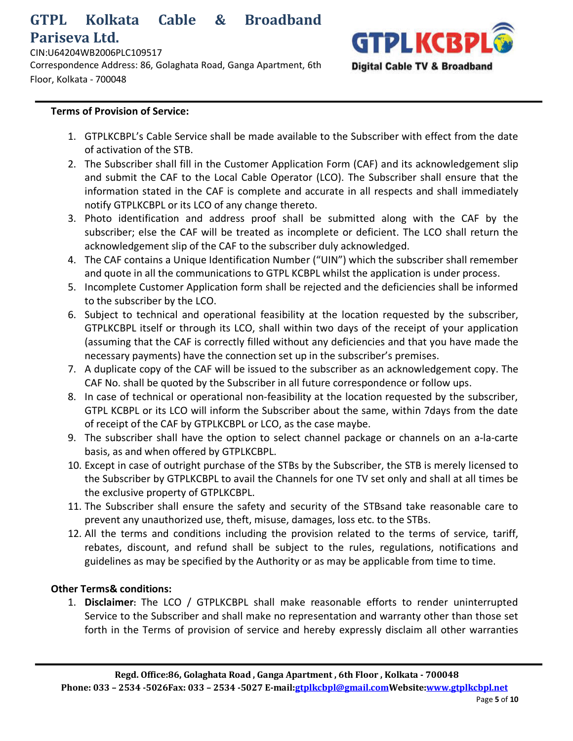CIN:U64204WB2006PLC109517 Correspondence Address: 86, Golaghata Road, Ganga Apartment, 6th Floor, Kolkata - 700048



#### **Terms of Provision of Service:**

- 1. GTPLKCBPL's Cable Service shall be made available to the Subscriber with effect from the date of activation of the STB.
- 2. The Subscriber shall fill in the Customer Application Form (CAF) and its acknowledgement slip and submit the CAF to the Local Cable Operator (LCO). The Subscriber shall ensure that the information stated in the CAF is complete and accurate in all respects and shall immediately notify GTPLKCBPL or its LCO of any change thereto.
- 3. Photo identification and address proof shall be submitted along with the CAF by the subscriber; else the CAF will be treated as incomplete or deficient. The LCO shall return the acknowledgement slip of the CAF to the subscriber duly acknowledged.
- 4. The CAF contains a Unique Identification Number ("UIN") which the subscriber shall remember and quote in all the communications to GTPL KCBPL whilst the application is under process.
- 5. Incomplete Customer Application form shall be rejected and the deficiencies shall be informed to the subscriber by the LCO.
- 6. Subject to technical and operational feasibility at the location requested by the subscriber, GTPLKCBPL itself or through its LCO, shall within two days of the receipt of your application (assuming that the CAF is correctly filled without any deficiencies and that you have made the necessary payments) have the connection set up in the subscriber's premises.
- 7. A duplicate copy of the CAF will be issued to the subscriber as an acknowledgement copy. The CAF No. shall be quoted by the Subscriber in all future correspondence or follow ups.
- 8. In case of technical or operational non-feasibility at the location requested by the subscriber, GTPL KCBPL or its LCO will inform the Subscriber about the same, within 7days from the date of receipt of the CAF by GTPLKCBPL or LCO, as the case maybe.
- 9. The subscriber shall have the option to select channel package or channels on an a-la-carte basis, as and when offered by GTPLKCBPL.
- 10. Except in case of outright purchase of the STBs by the Subscriber, the STB is merely licensed to the Subscriber by GTPLKCBPL to avail the Channels for one TV set only and shall at all times be the exclusive property of GTPLKCBPL.
- 11. The Subscriber shall ensure the safety and security of the STBsand take reasonable care to prevent any unauthorized use, theft, misuse, damages, loss etc. to the STBs.
- 12. All the terms and conditions including the provision related to the terms of service, tariff, rebates, discount, and refund shall be subject to the rules, regulations, notifications and guidelines as may be specified by the Authority or as may be applicable from time to time.

#### **Other Terms& conditions:**

1. **Disclaimer:** The LCO / GTPLKCBPL shall make reasonable efforts to render uninterrupted Service to the Subscriber and shall make no representation and warranty other than those set forth in the Terms of provision of service and hereby expressly disclaim all other warranties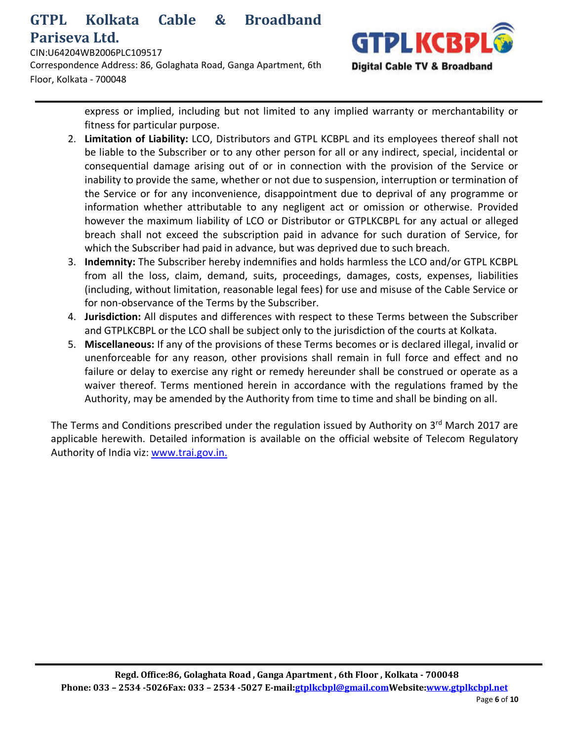CIN:U64204WB2006PLC109517 Correspondence Address: 86, Golaghata Road, Ganga Apartment, 6th Floor, Kolkata - 700048



express or implied, including but not limited to any implied warranty or merchantability or fitness for particular purpose.

- 2. **Limitation of Liability:** LCO, Distributors and GTPL KCBPL and its employees thereof shall not be liable to the Subscriber or to any other person for all or any indirect, special, incidental or consequential damage arising out of or in connection with the provision of the Service or inability to provide the same, whether or not due to suspension, interruption or termination of the Service or for any inconvenience, disappointment due to deprival of any programme or information whether attributable to any negligent act or omission or otherwise. Provided however the maximum liability of LCO or Distributor or GTPLKCBPL for any actual or alleged breach shall not exceed the subscription paid in advance for such duration of Service, for which the Subscriber had paid in advance, but was deprived due to such breach.
- 3. **Indemnity:** The Subscriber hereby indemnifies and holds harmless the LCO and/or GTPL KCBPL from all the loss, claim, demand, suits, proceedings, damages, costs, expenses, liabilities (including, without limitation, reasonable legal fees) for use and misuse of the Cable Service or for non-observance of the Terms by the Subscriber.
- 4. **Jurisdiction:** All disputes and differences with respect to these Terms between the Subscriber and GTPLKCBPL or the LCO shall be subject only to the jurisdiction of the courts at Kolkata.
- 5. **Miscellaneous:** If any of the provisions of these Terms becomes or is declared illegal, invalid or unenforceable for any reason, other provisions shall remain in full force and effect and no failure or delay to exercise any right or remedy hereunder shall be construed or operate as a waiver thereof. Terms mentioned herein in accordance with the regulations framed by the Authority, may be amended by the Authority from time to time and shall be binding on all.

The Terms and Conditions prescribed under the regulation issued by Authority on 3<sup>rd</sup> March 2017 are applicable herewith. Detailed information is available on the official website of Telecom Regulatory Authority of India viz: www.trai.gov.in.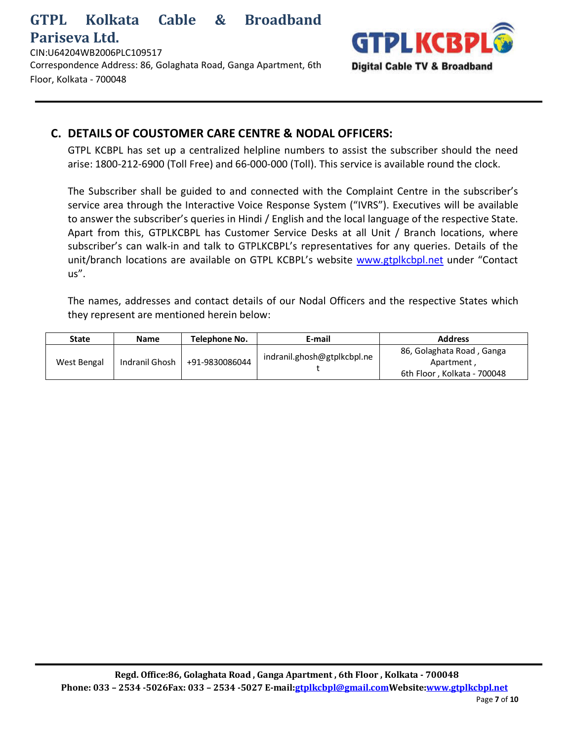CIN:U64204WB2006PLC109517 Correspondence Address: 86, Golaghata Road, Ganga Apartment, 6th Floor, Kolkata - 700048



## **C. DETAILS OF COUSTOMER CARE CENTRE & NODAL OFFICERS:**

GTPL KCBPL has set up a centralized helpline numbers to assist the subscriber should the need arise: 1800-212-6900 (Toll Free) and 66-000-000 (Toll). This service is available round the clock.

The Subscriber shall be guided to and connected with the Complaint Centre in the subscriber's service area through the Interactive Voice Response System ("IVRS"). Executives will be available to answer the subscriber's queries in Hindi / English and the local language of the respective State. Apart from this, GTPLKCBPL has Customer Service Desks at all Unit / Branch locations, where subscriber's can walk-in and talk to GTPLKCBPL's representatives for any queries. Details of the unit/branch locations are available on GTPL KCBPL's website www.gtplkcbpl.net under "Contact us".

The names, addresses and contact details of our Nodal Officers and the respective States which they represent are mentioned herein below:

| <b>State</b> | <b>Name</b>    | Telephone No.  | E-mail                      | <b>Address</b>                                                         |
|--------------|----------------|----------------|-----------------------------|------------------------------------------------------------------------|
| West Bengal  | Indranil Ghosh | +91-9830086044 | indranil.ghosh@gtplkcbpl.ne | 86, Golaghata Road, Ganga<br>Apartment,<br>6th Floor, Kolkata - 700048 |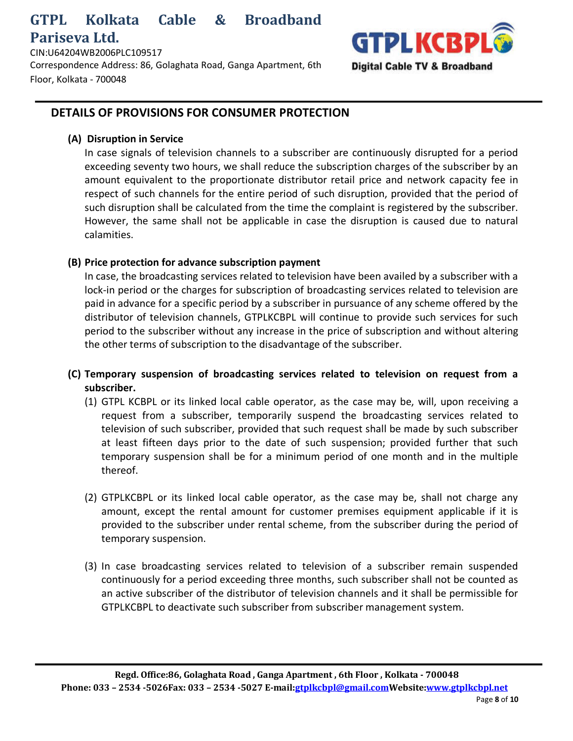CIN:U64204WB2006PLC109517

Correspondence Address: 86, Golaghata Road, Ganga Apartment, 6th Floor, Kolkata - 700048



### **DETAILS OF PROVISIONS FOR CONSUMER PROTECTION**

#### **(A) Disruption in Service**

In case signals of television channels to a subscriber are continuously disrupted for a period exceeding seventy two hours, we shall reduce the subscription charges of the subscriber by an amount equivalent to the proportionate distributor retail price and network capacity fee in respect of such channels for the entire period of such disruption, provided that the period of such disruption shall be calculated from the time the complaint is registered by the subscriber. However, the same shall not be applicable in case the disruption is caused due to natural calamities.

#### **(B) Price protection for advance subscription payment**

In case, the broadcasting services related to television have been availed by a subscriber with a lock-in period or the charges for subscription of broadcasting services related to television are paid in advance for a specific period by a subscriber in pursuance of any scheme offered by the distributor of television channels, GTPLKCBPL will continue to provide such services for such period to the subscriber without any increase in the price of subscription and without altering the other terms of subscription to the disadvantage of the subscriber.

- **(C) Temporary suspension of broadcasting services related to television on request from a subscriber.**
	- (1) GTPL KCBPL or its linked local cable operator, as the case may be, will, upon receiving a request from a subscriber, temporarily suspend the broadcasting services related to television of such subscriber, provided that such request shall be made by such subscriber at least fifteen days prior to the date of such suspension; provided further that such temporary suspension shall be for a minimum period of one month and in the multiple thereof.
	- (2) GTPLKCBPL or its linked local cable operator, as the case may be, shall not charge any amount, except the rental amount for customer premises equipment applicable if it is provided to the subscriber under rental scheme, from the subscriber during the period of temporary suspension.
	- (3) In case broadcasting services related to television of a subscriber remain suspended continuously for a period exceeding three months, such subscriber shall not be counted as an active subscriber of the distributor of television channels and it shall be permissible for GTPLKCBPL to deactivate such subscriber from subscriber management system.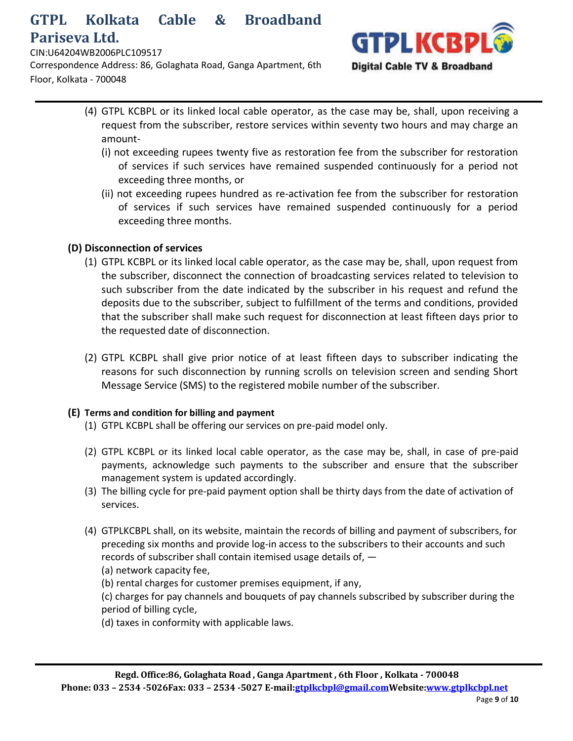CIN:U64204WB2006PLC109517

Correspondence Address: 86, Golaghata Road, Ganga Apartment, 6th Floor, Kolkata - 700048



- (4) GTPL KCBPL or its linked local cable operator, as the case may be, shall, upon receiving a request from the subscriber, restore services within seventy two hours and may charge an amount-
	- (i) not exceeding rupees twenty five as restoration fee from the subscriber for restoration of services if such services have remained suspended continuously for a period not exceeding three months, or
	- (ii) not exceeding rupees hundred as re-activation fee from the subscriber for restoration of services if such services have remained suspended continuously for a period exceeding three months.

#### **(D) Disconnection of services**

- (1) GTPL KCBPL or its linked local cable operator, as the case may be, shall, upon request from the subscriber, disconnect the connection of broadcasting services related to television to such subscriber from the date indicated by the subscriber in his request and refund the deposits due to the subscriber, subject to fulfillment of the terms and conditions, provided that the subscriber shall make such request for disconnection at least fifteen days prior to the requested date of disconnection.
- (2) GTPL KCBPL shall give prior notice of at least fifteen days to subscriber indicating the reasons for such disconnection by running scrolls on television screen and sending Short Message Service (SMS) to the registered mobile number of the subscriber.

#### **(E) Terms and condition for billing and payment**

- (1) GTPL KCBPL shall be offering our services on pre-paid model only.
- (2) GTPL KCBPL or its linked local cable operator, as the case may be, shall, in case of pre-paid payments, acknowledge such payments to the subscriber and ensure that the subscriber management system is updated accordingly.
- (3) The billing cycle for pre-paid payment option shall be thirty days from the date of activation of services.
- (4) GTPLKCBPL shall, on its website, maintain the records of billing and payment of subscribers, for preceding six months and provide log-in access to the subscribers to their accounts and such records of subscriber shall contain itemised usage details of, —
	- (a) network capacity fee,
	- (b) rental charges for customer premises equipment, if any,

(c) charges for pay channels and bouquets of pay channels subscribed by subscriber during the period of billing cycle,

(d) taxes in conformity with applicable laws.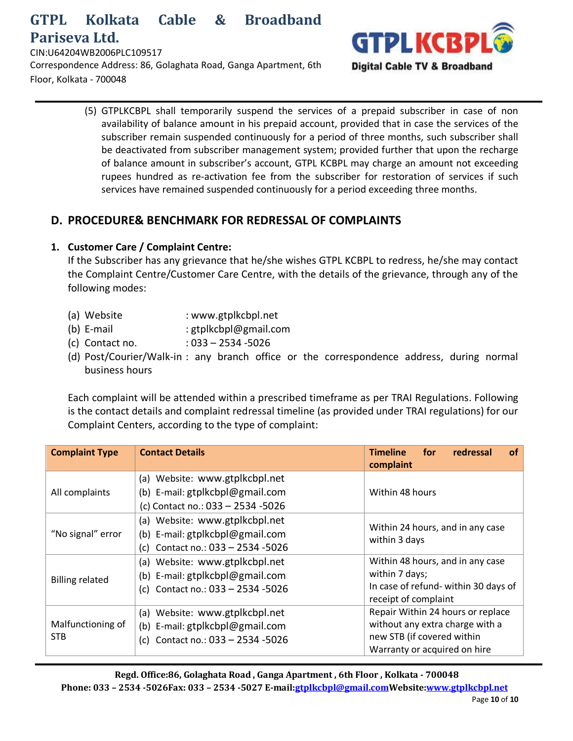CIN:U64204WB2006PLC109517

Correspondence Address: 86, Golaghata Road, Ganga Apartment, 6th Floor, Kolkata - 700048



(5) GTPLKCBPL shall temporarily suspend the services of a prepaid subscriber in case of non availability of balance amount in his prepaid account, provided that in case the services of the subscriber remain suspended continuously for a period of three months, such subscriber shall be deactivated from subscriber management system; provided further that upon the recharge of balance amount in subscriber's account, GTPL KCBPL may charge an amount not exceeding rupees hundred as re-activation fee from the subscriber for restoration of services if such services have remained suspended continuously for a period exceeding three months.

## **D. PROCEDURE& BENCHMARK FOR REDRESSAL OF COMPLAINTS**

#### **1. Customer Care / Complaint Centre:**

If the Subscriber has any grievance that he/she wishes GTPL KCBPL to redress, he/she may contact the Complaint Centre/Customer Care Centre, with the details of the grievance, through any of the following modes:

- (a) Website : www.gtplkcbpl.net
- (b) E-mail : gtplkcbpl@gmail.com
- (c) Contact no. : 033 2534 -5026
- (d) Post/Courier/Walk-in : any branch office or the correspondence address, during normal business hours

Each complaint will be attended within a prescribed timeframe as per TRAI Regulations. Following is the contact details and complaint redressal timeline (as provided under TRAI regulations) for our Complaint Centers, according to the type of complaint:

| <b>Complaint Type</b>           | <b>Contact Details</b>                                                                                     | for<br>redressal<br><b>of</b><br><b>Timeline</b><br>complaint                                                                      |
|---------------------------------|------------------------------------------------------------------------------------------------------------|------------------------------------------------------------------------------------------------------------------------------------|
| All complaints                  | (a) Website: www.gtplkcbpl.net<br>(b) E-mail: gtplkcbpl@gmail.com<br>(c) Contact no.: 033 - 2534 - 5026    | Within 48 hours                                                                                                                    |
| "No signal" error               | (a) Website: www.gtplkcbpl.net<br>(b) E-mail: gtplkcbpl@gmail.com<br>Contact no.: 033 - 2534 - 5026<br>(c) | Within 24 hours, and in any case<br>within 3 days                                                                                  |
| <b>Billing related</b>          | (a) Website: www.gtplkcbpl.net<br>(b) E-mail: gtplkcbpl@gmail.com<br>(c) Contact no.: 033 - 2534 - 5026    | Within 48 hours, and in any case<br>within 7 days;<br>In case of refund-within 30 days of<br>receipt of complaint                  |
| Malfunctioning of<br><b>STB</b> | (a) Website: www.gtplkcbpl.net<br>(b) E-mail: gtplkcbpl@gmail.com<br>Contact no.: 033 - 2534 - 5026<br>(c) | Repair Within 24 hours or replace<br>without any extra charge with a<br>new STB (if covered within<br>Warranty or acquired on hire |